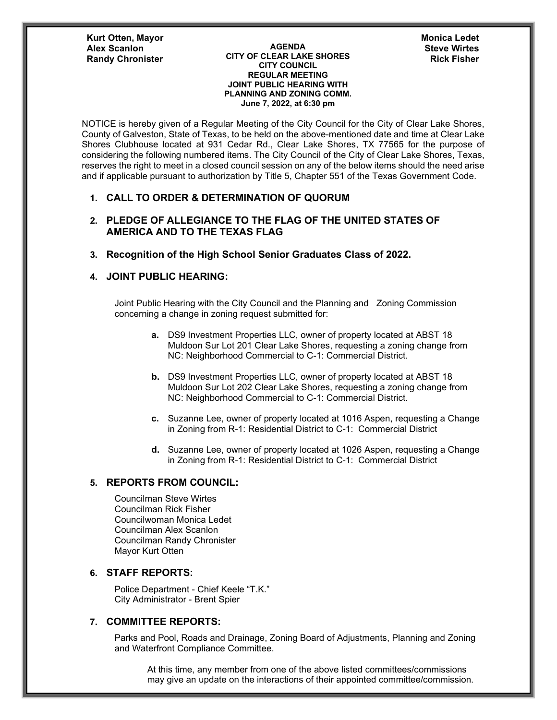**Kurt Otten, Mayor Randy Chronister** 

**AGENDA CITY OF CLEAR LAKE SHORES CITY COUNCIL REGULAR MEETING JOINT PUBLIC HEARING WITH PLANNING AND ZONING COMM. June 7, 2022, at 6:30 pm Alex Scanlon Steve Wirtes**

**Monica Ledet**

NOTICE is hereby given of a Regular Meeting of the City Council for the City of Clear Lake Shores, County of Galveston, State of Texas, to be held on the above-mentioned date and time at Clear Lake Shores Clubhouse located at 931 Cedar Rd., Clear Lake Shores, TX 77565 for the purpose of considering the following numbered items. The City Council of the City of Clear Lake Shores, Texas, reserves the right to meet in a closed council session on any of the below items should the need arise and if applicable pursuant to authorization by Title 5, Chapter 551 of the Texas Government Code.

### **1. CALL TO ORDER & DETERMINATION OF QUORUM**

# **2. PLEDGE OF ALLEGIANCE TO THE FLAG OF THE UNITED STATES OF AMERICA AND TO THE TEXAS FLAG**

### **3. Recognition of the High School Senior Graduates Class of 2022.**

## **4. JOINT PUBLIC HEARING:**

Joint Public Hearing with the City Council and the Planning and Zoning Commission concerning a change in zoning request submitted for:

- **a.** DS9 Investment Properties LLC, owner of property located at ABST 18 Muldoon Sur Lot 201 Clear Lake Shores, requesting a zoning change from NC: Neighborhood Commercial to C-1: Commercial District.
- **b.** DS9 Investment Properties LLC, owner of property located at ABST 18 Muldoon Sur Lot 202 Clear Lake Shores, requesting a zoning change from NC: Neighborhood Commercial to C-1: Commercial District.
- **c.** Suzanne Lee, owner of property located at 1016 Aspen, requesting a Change in Zoning from R-1: Residential District to C-1: Commercial District
- **d.** Suzanne Lee, owner of property located at 1026 Aspen, requesting a Change in Zoning from R-1: Residential District to C-1: Commercial District

## **5. REPORTS FROM COUNCIL:**

Councilman Steve Wirtes Councilman Rick Fisher Councilwoman Monica Ledet Councilman Alex Scanlon Councilman Randy Chronister Mayor Kurt Otten

### **6. STAFF REPORTS:**

Police Department - Chief Keele "T.K." City Administrator - Brent Spier

## **7. COMMITTEE REPORTS:**

Parks and Pool, Roads and Drainage, Zoning Board of Adjustments, Planning and Zoning and Waterfront Compliance Committee.

At this time, any member from one of the above listed committees/commissions may give an update on the interactions of their appointed committee/commission.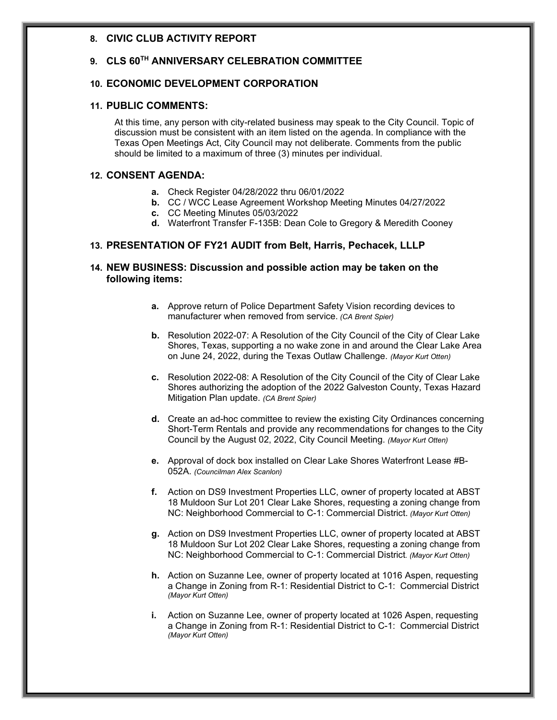### **8. CIVIC CLUB ACTIVITY REPORT**

# **9. CLS 60TH ANNIVERSARY CELEBRATION COMMITTEE**

### **10. ECONOMIC DEVELOPMENT CORPORATION**

# **11. PUBLIC COMMENTS:**

At this time, any person with city-related business may speak to the City Council. Topic of discussion must be consistent with an item listed on the agenda. In compliance with the Texas Open Meetings Act, City Council may not deliberate. Comments from the public should be limited to a maximum of three (3) minutes per individual.

### **12. CONSENT AGENDA:**

- **a.** Check Register 04/28/2022 thru 06/01/2022
- **b.** CC / WCC Lease Agreement Workshop Meeting Minutes 04/27/2022
- **c.** CC Meeting Minutes 05/03/2022
- **d.** Waterfront Transfer F-135B: Dean Cole to Gregory & Meredith Cooney

## **13. PRESENTATION OF FY21 AUDIT from Belt, Harris, Pechacek, LLLP**

### **14. NEW BUSINESS: Discussion and possible action may be taken on the following items:**

- **a.** Approve return of Police Department Safety Vision recording devices to manufacturer when removed from service. *(CA Brent Spier)*
- **b.** Resolution 2022-07: A Resolution of the City Council of the City of Clear Lake Shores, Texas, supporting a no wake zone in and around the Clear Lake Area on June 24, 2022, during the Texas Outlaw Challenge. *(Mayor Kurt Otten)*
- **c.** Resolution 2022-08: A Resolution of the City Council of the City of Clear Lake Shores authorizing the adoption of the 2022 Galveston County, Texas Hazard Mitigation Plan update. *(CA Brent Spier)*
- **d.** Create an ad-hoc committee to review the existing City Ordinances concerning Short-Term Rentals and provide any recommendations for changes to the City Council by the August 02, 2022, City Council Meeting. *(Mayor Kurt Otten)*
- **e.** Approval of dock box installed on Clear Lake Shores Waterfront Lease #B-052A. *(Councilman Alex Scanlon)*
- **f.** Action on DS9 Investment Properties LLC, owner of property located at ABST 18 Muldoon Sur Lot 201 Clear Lake Shores, requesting a zoning change from NC: Neighborhood Commercial to C-1: Commercial District. *(Mayor Kurt Otten)*
- **g.** Action on DS9 Investment Properties LLC, owner of property located at ABST 18 Muldoon Sur Lot 202 Clear Lake Shores, requesting a zoning change from NC: Neighborhood Commercial to C-1: Commercial District*. (Mayor Kurt Otten)*
- **h.** Action on Suzanne Lee, owner of property located at 1016 Aspen, requesting a Change in Zoning from R-1: Residential District to C-1: Commercial District *(Mayor Kurt Otten)*
- **i.** Action on Suzanne Lee, owner of property located at 1026 Aspen, requesting a Change in Zoning from R-1: Residential District to C-1: Commercial District *(Mayor Kurt Otten)*